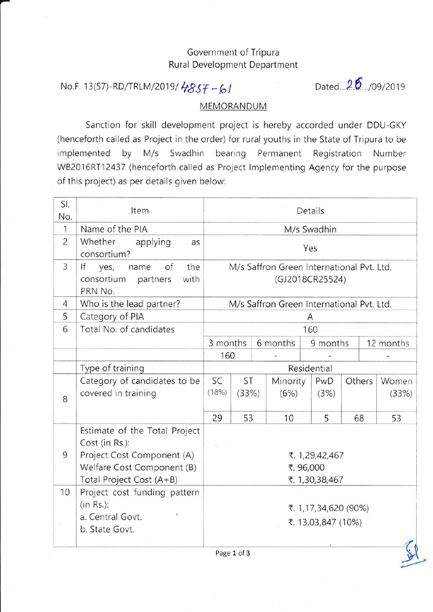## Government of Tripura Rural Development Department

## No.F. 13(57)-RD/TRLM/2019/4857-61

Dated  $26$ , /09/2019

,?

## MEMORANDUM

Sanction for skill development project is hereby accorded under DDU-GKY (henceforth called as Project in the order) for rural youths in the State of Tripura to be implemented by M/s Swadhin bearing Permanent Registration Number WB2016RT12437 (henceforth called as Project lmplementing Agency for the purpose of this project) as per details given below:

| SI.<br>No.     | Item                                                                                                                                    |                                                              | Details     |  |                  |             |        |           |                |  |
|----------------|-----------------------------------------------------------------------------------------------------------------------------------------|--------------------------------------------------------------|-------------|--|------------------|-------------|--------|-----------|----------------|--|
| $\mathbf{1}$   | Name of the PIA                                                                                                                         |                                                              | M/s Swadhin |  |                  |             |        |           |                |  |
| $\overline{c}$ | Whether<br>applying<br>as<br>consortium?                                                                                                | Yes                                                          |             |  |                  |             |        |           |                |  |
| $\overline{3}$ | If<br>the<br>of<br>yes,<br>name<br>consortium<br>partners<br>with<br>PRN No.                                                            | M/s Saffron Green International Pvt. Ltd.<br>(GJ2018CR25524) |             |  |                  |             |        |           |                |  |
| $\overline{4}$ | Who is the lead partner?                                                                                                                | M/s Saffron Green International Pvt. Ltd.                    |             |  |                  |             |        |           |                |  |
| 5              | Category of PIA                                                                                                                         | Α                                                            |             |  |                  |             |        |           |                |  |
| 6              | Total No. of candidates                                                                                                                 | 160                                                          |             |  |                  |             |        |           |                |  |
|                |                                                                                                                                         | 3 months                                                     |             |  | 6 months         | 9 months    |        | 12 months |                |  |
|                |                                                                                                                                         | 160                                                          |             |  |                  |             |        |           |                |  |
|                | Type of training                                                                                                                        | Residential                                                  |             |  |                  |             |        |           |                |  |
| 8              | Category of candidates to be<br>covered in training                                                                                     | SC<br>(18%)                                                  | ST<br>(33%) |  | Minority<br>(6%) | PwD<br>(3%) | Others |           | Women<br>(33%) |  |
|                |                                                                                                                                         | 29                                                           | 53          |  | 10               | 5           | 68     |           | 53             |  |
| 9              | Estimate of the Total Project<br>Cost (in Rs.):<br>Project Cost Component (A)<br>Welfare Cost Component (B)<br>Total Project Cost (A+B) | ₹. 1,29,42,467<br>₹.96,000<br>₹. 1,30,38,467                 |             |  |                  |             |        |           |                |  |
| 10             | Project cost funding pattern<br>$(in Rs.)$ :<br>a. Central Govt.<br>b. State Govt.                                                      | ₹. 1,17,34,620 (90%)<br>₹. 13,03,847 (10%)                   |             |  |                  |             |        |           |                |  |

Page 1 of 3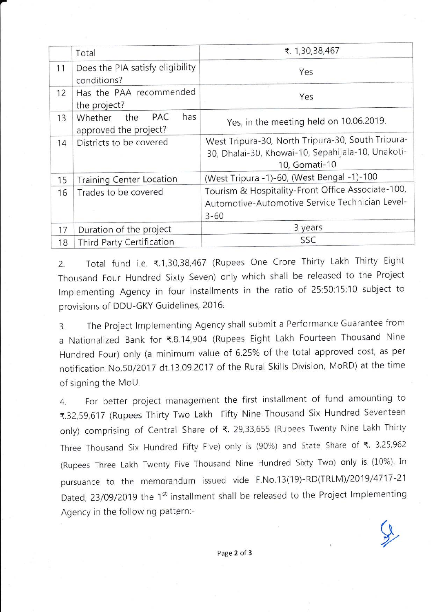|    | Total                                                        | ₹. 1,30,38,467                                                                                                          |  |  |  |  |
|----|--------------------------------------------------------------|-------------------------------------------------------------------------------------------------------------------------|--|--|--|--|
| 11 | Does the PIA satisfy eligibility<br>conditions?              | Yes                                                                                                                     |  |  |  |  |
| 12 | Has the PAA recommended<br>the project?                      | Yes                                                                                                                     |  |  |  |  |
| 13 | has<br>the<br><b>PAC</b><br>Whether<br>approved the project? | Yes, in the meeting held on 10.06.2019.                                                                                 |  |  |  |  |
| 14 | Districts to be covered                                      | West Tripura-30, North Tripura-30, South Tripura-<br>30, Dhalai-30, Khowai-10, Sepahijala-10, Unakoti-<br>10, Gomati-10 |  |  |  |  |
| 15 | <b>Training Center Location</b>                              | (West Tripura -1)-60, (West Bengal -1)-100                                                                              |  |  |  |  |
| 16 | Trades to be covered                                         | Tourism & Hospitality-Front Office Associate-100,<br>Automotive-Automotive Service Technician Level-<br>$3 - 60$        |  |  |  |  |
| 17 | Duration of the project                                      | 3 years                                                                                                                 |  |  |  |  |
| 18 | Third Party Certification                                    | SSC                                                                                                                     |  |  |  |  |

2. Total fund i.e. ₹.1,30,38,467 (Rupees One Crore Thirty Lakh Thirty Eight Thousand Four Hundred Sixty Seven) only which shall be released to the Project Implementing Agency in four installments in the ratio of 25:50:15:10 subject to provisions of DDU-GKY Guidelines, 2016.

3. The Project lmplementing Agency shall submit a Performance Guarantee from a Nationalized Bank for ₹.8, 14, 904 (Rupees Eight Lakh Fourteen Thousand Nine Hundred Four) only (a minimum value of 6.25% of the total approved cost, as per notification No.50/2017 dt.13.09.2017 of the Rural Skills Division, MoRD) at the time of signing the MoU.

4. For better project management the first installment of fund amounting to <.32,59,617 (Rupees Thirty Two Lakh Fifty Nine Thousand Six Hundred Seventeen only) comprising of Central Share of <. 29,33,655 (Rupees Twenty Nine Lakh Thirty Three Thousand Six Hundred Fifty Five) only is (90%) and State Share of  $\xi$ . 3,25,962 (Rupees Three Lakh Twenty Five Thousand Nine Hundred Sixty Two) only is (10%). In pursuance to the memorandum issued vide F.No.13(19)-RD(TRLM)/2019/4717 -21 Dated, 23/09/2019 the 1<sup>st</sup> installment shall be released to the Project Implementing Agency in the following pattern:-

 $\mathcal{Q}$ -/,'"